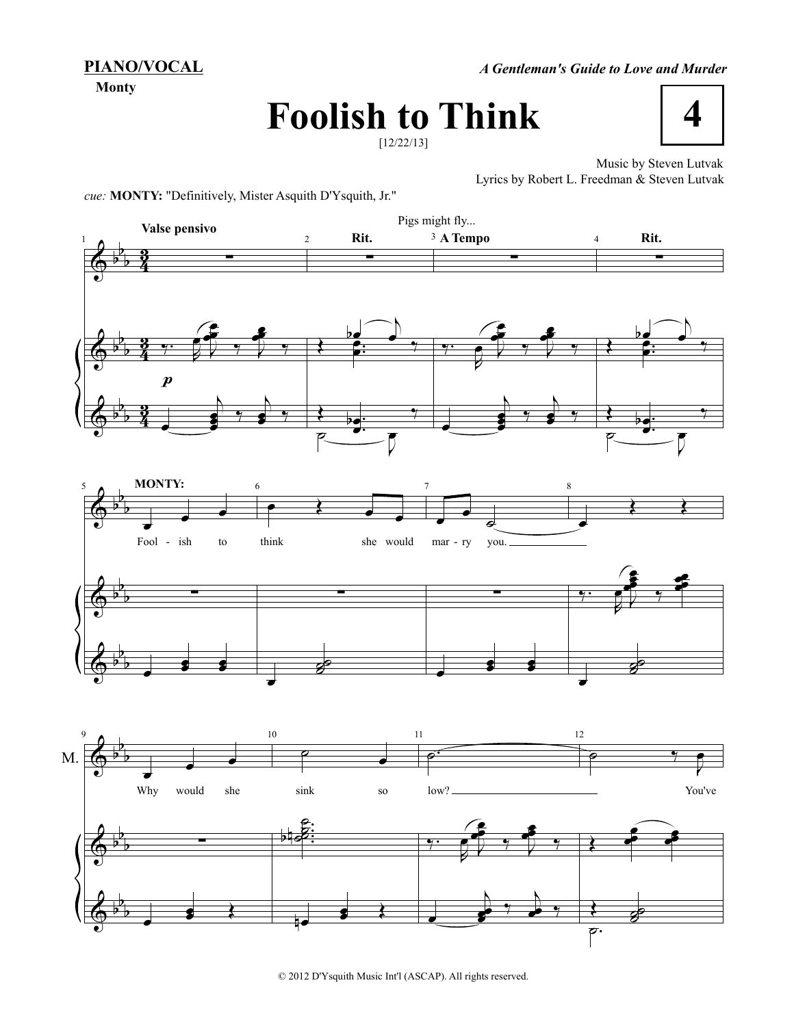**PIANO/VOCAL**

**Monty**

*A Gentleman's Guide to Love and Murder*

## **Foolish to Think**



**4**

Music by Steven Lutvak Lyrics by Robert L. Freedman & Steven Lutvak

*cue:* **MONTY:** "Definitively, Mister Asquith D'Ysquith, Jr."



© 2012 D'Ysquith Music Int'l (ASCAP). All rights reserved.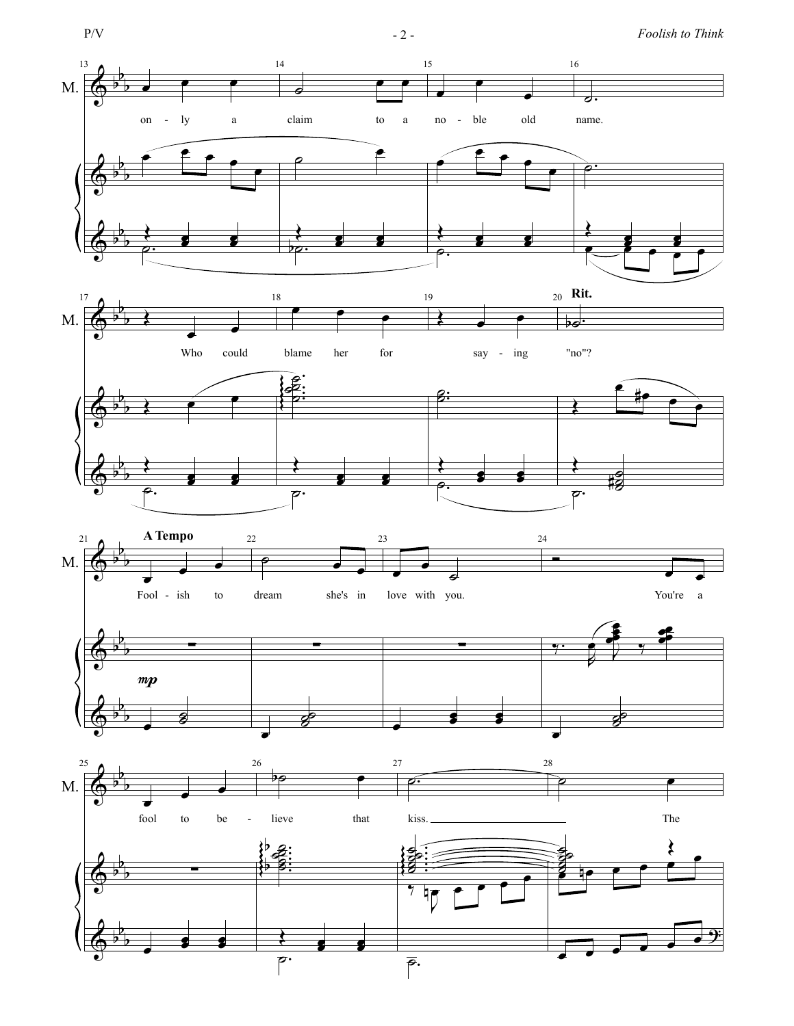

˙.

 $\frac{1}{\sqrt{2}}$ 

P/V - 2 - *Foolish to Think*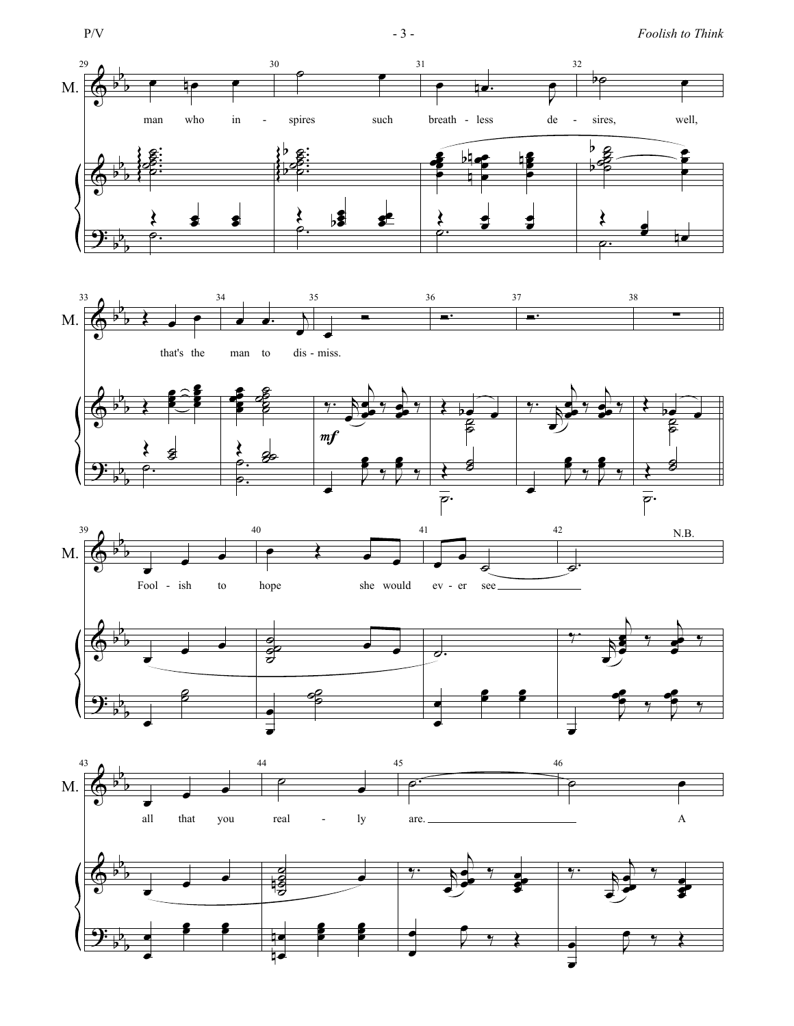

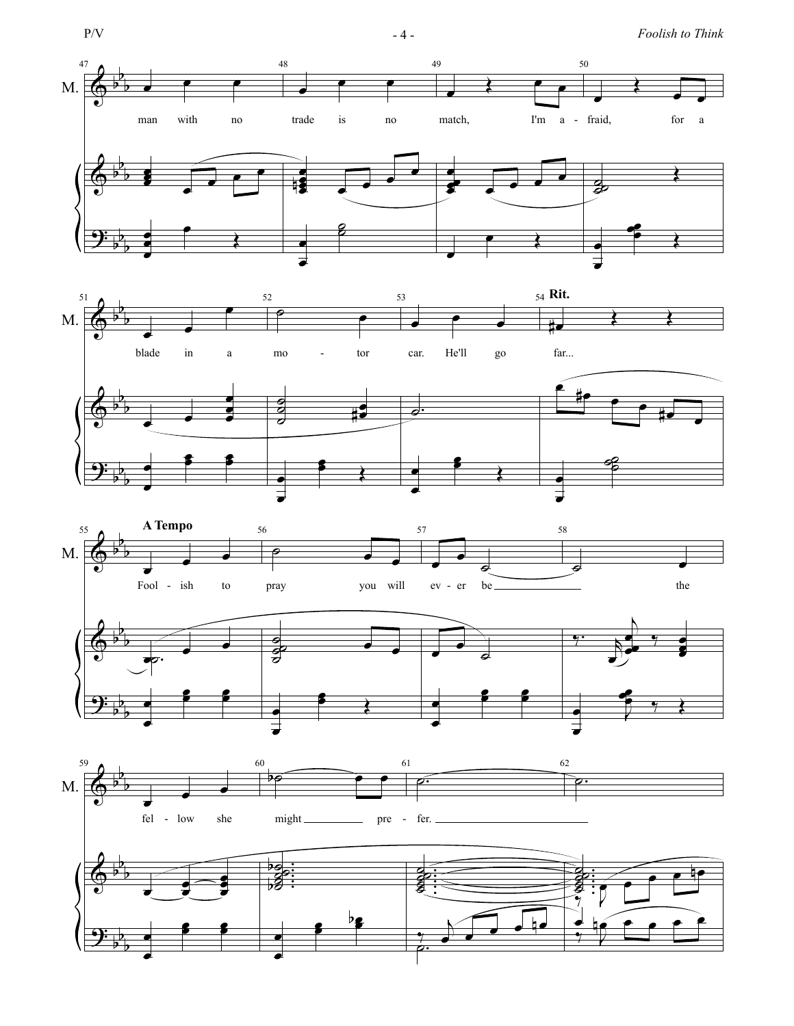









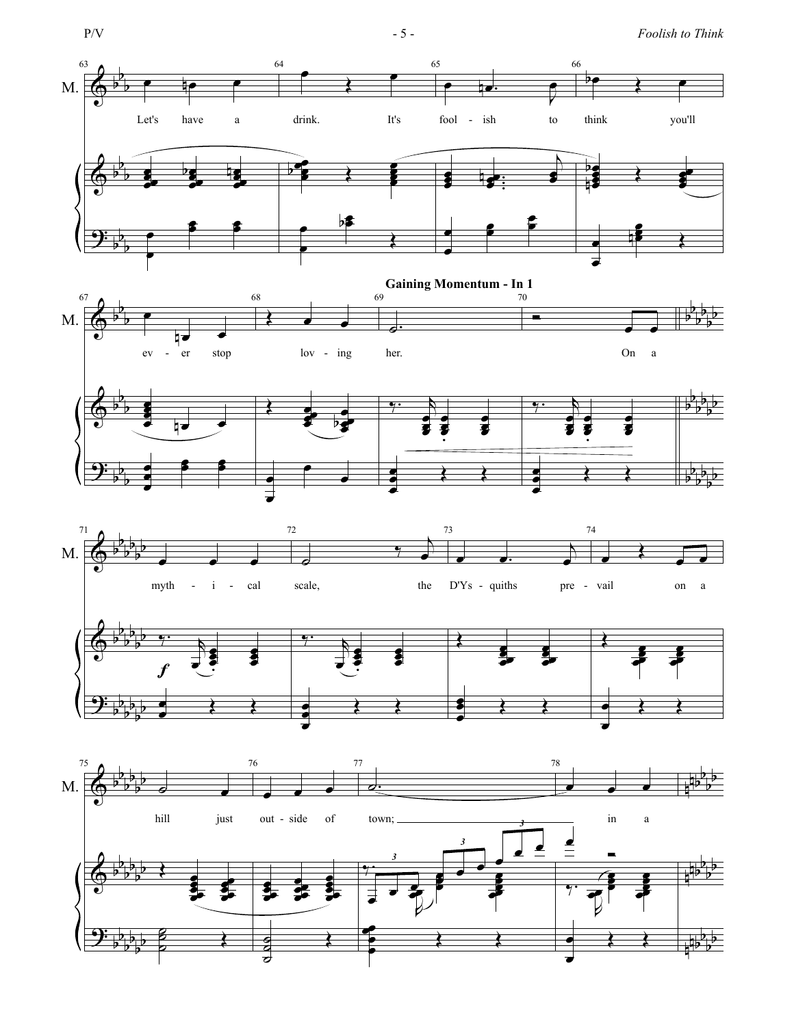

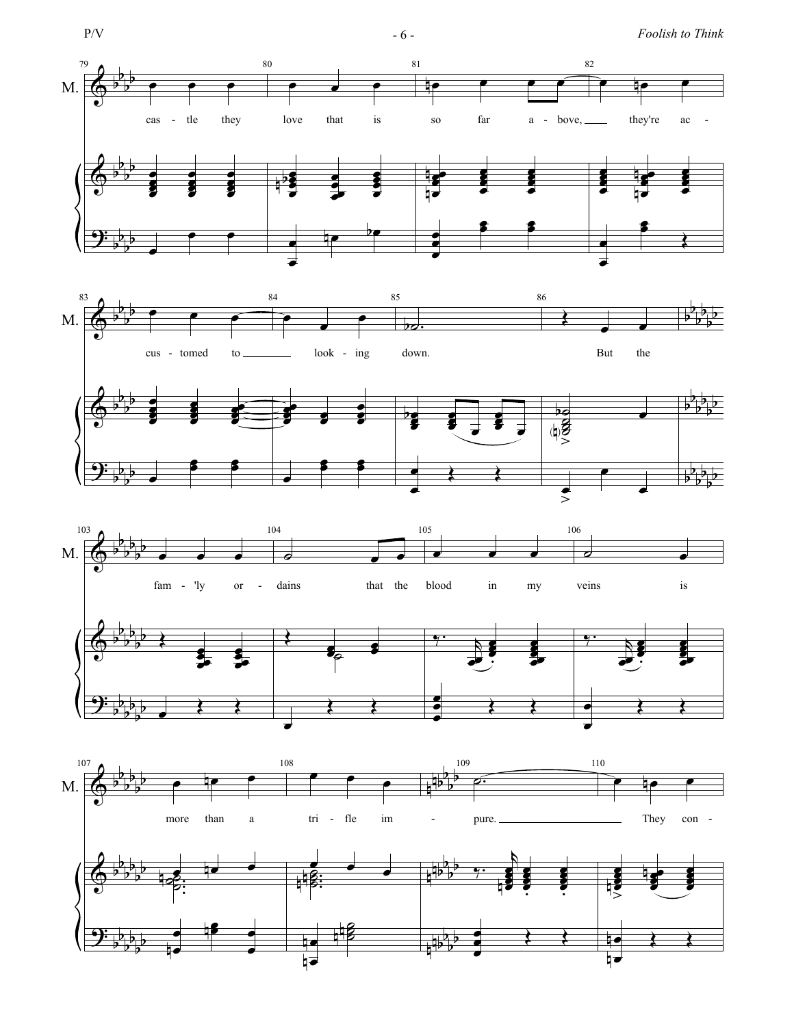







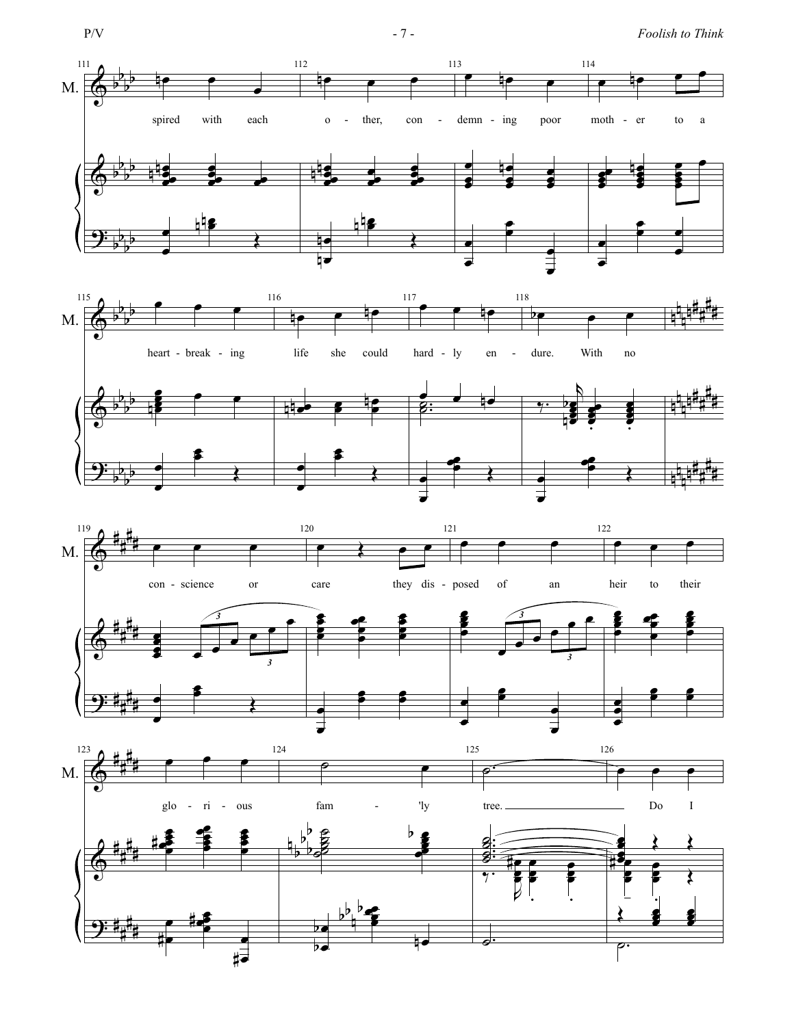







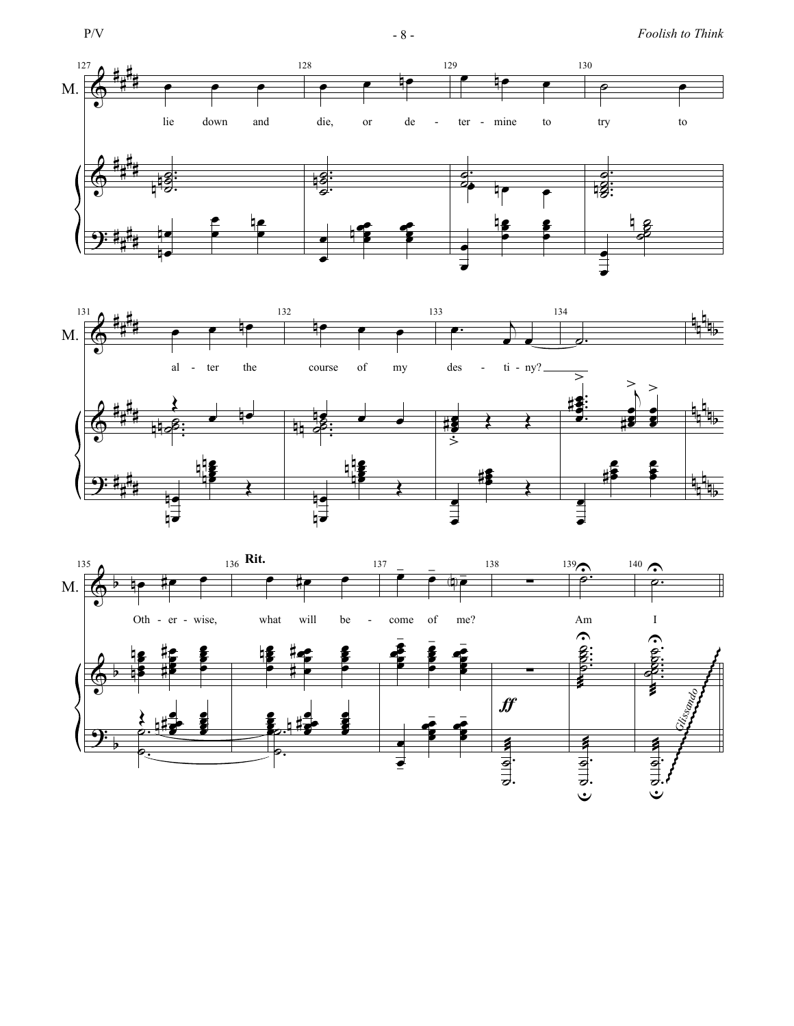





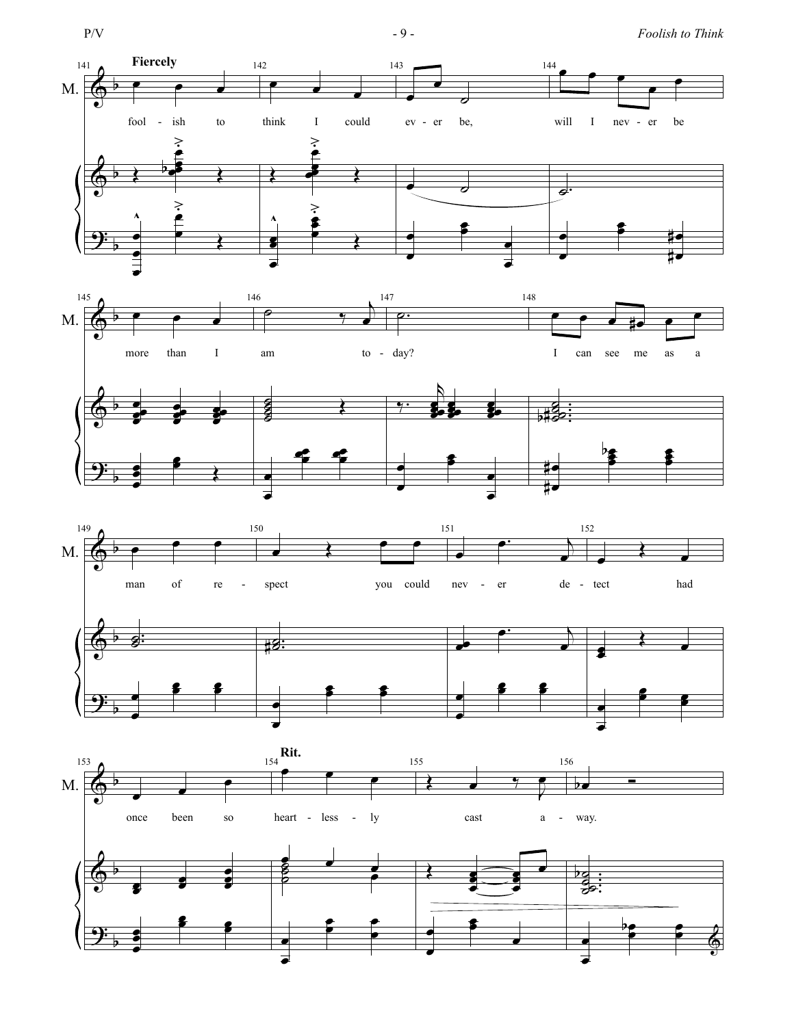

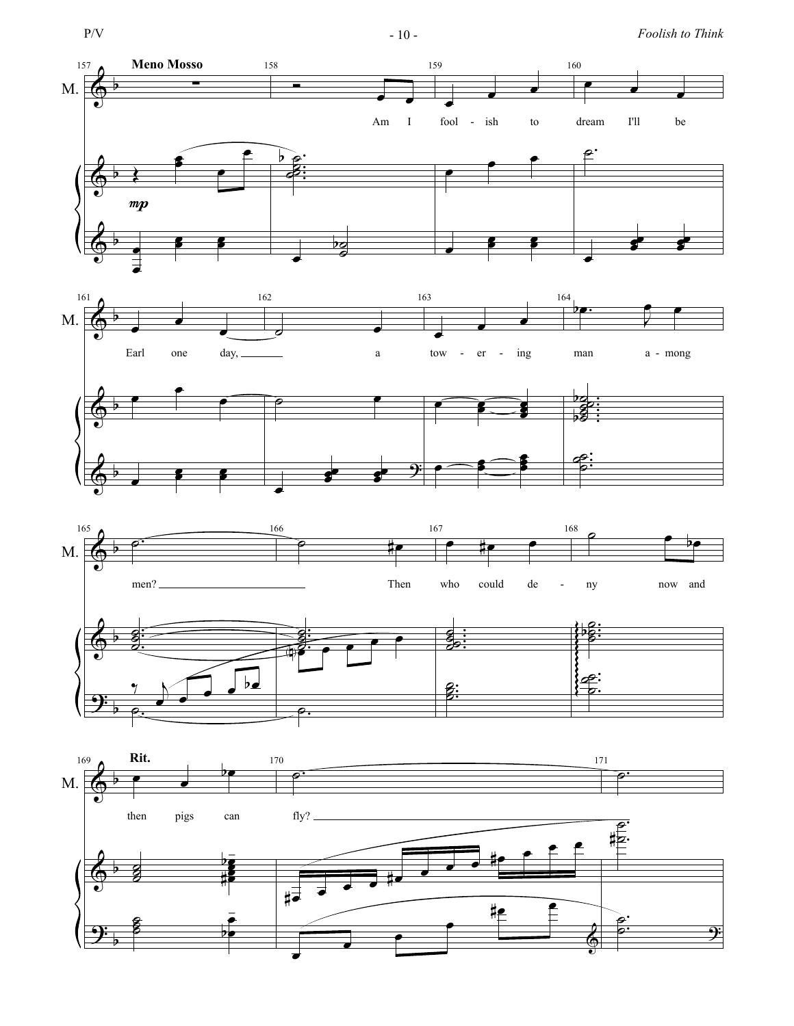